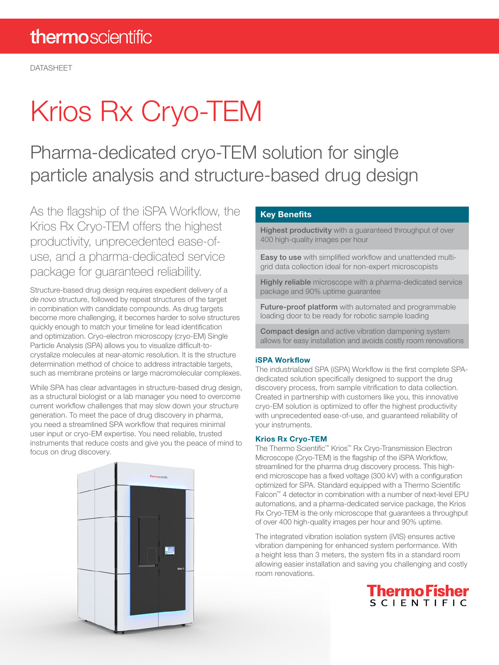DATASHEET

# Krios Rx Cryo-TEM

Pharma-dedicated cryo-TEM solution for single particle analysis and structure-based drug design

As the flagship of the iSPA Workflow, the Krios Rx Cryo-TEM offers the highest productivity, unprecedented ease-ofuse, and a pharma-dedicated service package for guaranteed reliability.

Structure-based drug design requires expedient delivery of a *de novo* structure, followed by repeat structures of the target in combination with candidate compounds. As drug targets become more challenging, it becomes harder to solve structures quickly enough to match your timeline for lead identification and optimization. Cryo-electron microscopy (cryo-EM) Single Particle Analysis (SPA) allows you to visualize difficult-tocrystalize molecules at near-atomic resolution. It is the structure determination method of choice to address intractable targets, such as membrane proteins or large macromolecular complexes.

While SPA has clear advantages in structure-based drug design, as a structural biologist or a lab manager you need to overcome current workflow challenges that may slow down your structure generation. To meet the pace of drug discovery in pharma, you need a streamlined SPA workflow that requires minimal user input or cryo-EM expertise. You need reliable, trusted instruments that reduce costs and give you the peace of mind to focus on drug discovery.

### Key Benefits

Highest productivity with a guaranteed throughput of over 400 high-quality images per hour

Easy to use with simplified workflow and unattended multigrid data collection ideal for non-expert microscopists

Highly reliable microscope with a pharma-dedicated service package and 90% uptime guarantee

**Future-proof platform** with automated and programmable loading door to be ready for robotic sample loading

**Compact design** and active vibration dampening system allows for easy installation and avoids costly room renovations

#### iSPA Workflow

The industrialized SPA (iSPA) Workflow is the first complete SPAdedicated solution specifically designed to support the drug discovery process, from sample vitrification to data collection. Created in partnership with customers like you, this innovative cryo-EM solution is optimized to offer the highest productivity with unprecedented ease-of-use, and guaranteed reliability of your instruments.

#### Krios Rx Cryo-TEM

The Thermo Scientific™ Krios™ Rx Cryo-Transmission Electron Microscope (Cryo-TEM) is the flagship of the iSPA Workflow, streamlined for the pharma drug discovery process. This highend microscope has a fixed voltage (300 kV) with a configuration optimized for SPA. Standard equipped with a Thermo Scientific Falcon™ 4 detector in combination with a number of next-level EPU automations, and a pharma-dedicated service package, the Krios Rx Cryo-TEM is the only microscope that guarantees a throughput of over 400 high-quality images per hour and 90% uptime.

The integrated vibration isolation system (iVIS) ensures active vibration dampening for enhanced system performance. With a height less than 3 meters, the system fits in a standard room allowing easier installation and saving you challenging and costly room renovations.

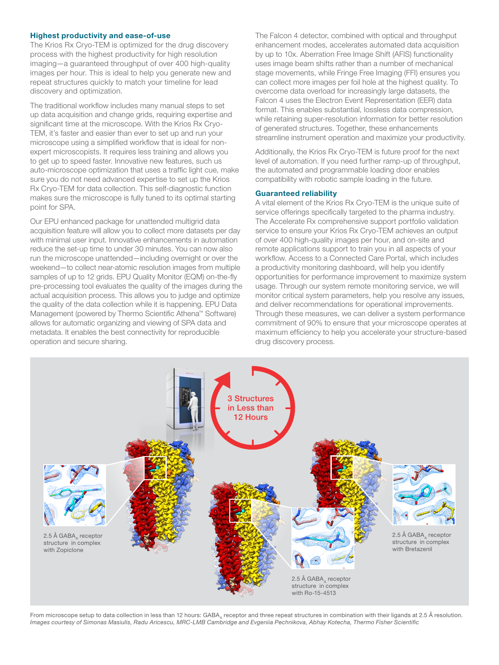#### Highest productivity and ease-of-use

The Krios Rx Cryo-TEM is optimized for the drug discovery process with the highest productivity for high resolution imaging—a guaranteed throughput of over 400 high-quality images per hour. This is ideal to help you generate new and repeat structures quickly to match your timeline for lead discovery and optimization.

The traditional workflow includes many manual steps to set up data acquisition and change grids, requiring expertise and significant time at the microscope. With the Krios Rx Cryo-TEM, it's faster and easier than ever to set up and run your microscope using a simplified workflow that is ideal for nonexpert microscopists. It requires less training and allows you to get up to speed faster. Innovative new features, such us auto-microscope optimization that uses a traffic light cue, make sure you do not need advanced expertise to set up the Krios Rx Cryo-TEM for data collection. This self-diagnostic function makes sure the microscope is fully tuned to its optimal starting point for SPA.

Our EPU enhanced package for unattended multigrid data acquisition feature will allow you to collect more datasets per day with minimal user input. Innovative enhancements in automation reduce the set-up time to under 30 minutes. You can now also run the microscope unattended—including overnight or over the weekend—to collect near-atomic resolution images from multiple samples of up to 12 grids. EPU Quality Monitor (EQM) on-the-fly pre-processing tool evaluates the quality of the images during the actual acquisition process. This allows you to judge and optimize the quality of the data collection while it is happening. EPU Data Management (powered by Thermo Scientific Athena™ Software) allows for automatic organizing and viewing of SPA data and metadata. It enables the best connectivity for reproducible operation and secure sharing.

The Falcon 4 detector, combined with optical and throughput enhancement modes, accelerates automated data acquisition by up to 10x. Aberration Free Image Shift (AFIS) functionality uses image beam shifts rather than a number of mechanical stage movements, while Fringe Free Imaging (FFI) ensures you can collect more images per foil hole at the highest quality. To overcome data overload for increasingly large datasets, the Falcon 4 uses the Electron Event Representation (EER) data format. This enables substantial, lossless data compression, while retaining super-resolution information for better resolution of generated structures. Together, these enhancements streamline instrument operation and maximize your productivity.

Additionally, the Krios Rx Cryo-TEM is future proof for the next level of automation. If you need further ramp-up of throughput, the automated and programmable loading door enables compatibility with robotic sample loading in the future.

#### Guaranteed reliability

A vital element of the Krios Rx Cryo-TEM is the unique suite of service offerings specifically targeted to the pharma industry. The Accelerate Rx comprehensive support portfolio validation service to ensure your Krios Rx Cryo-TEM achieves an output of over 400 high-quality images per hour, and on-site and remote applications support to train you in all aspects of your workflow. Access to a Connected Care Portal, which includes a productivity monitoring dashboard, will help you identify opportunities for performance improvement to maximize system usage. Through our system remote monitoring service, we will monitor critical system parameters, help you resolve any issues, and deliver recommendations for operational improvements. Through these measures, we can deliver a system performance commitment of 90% to ensure that your microscope operates at maximum efficiency to help you accelerate your structure-based drug discovery process.



From microscope setup to data collection in less than 12 hours: GABA<sub>A</sub> receptor and three repeat structures in combination with their ligands at 2.5 Å resolution. *Images courtesy of Simonas Masiulis, Radu Aricescu, MRC-LMB Cambridge and Evgeniia Pechnikova, Abhay Kotecha, Thermo Fisher Scientific*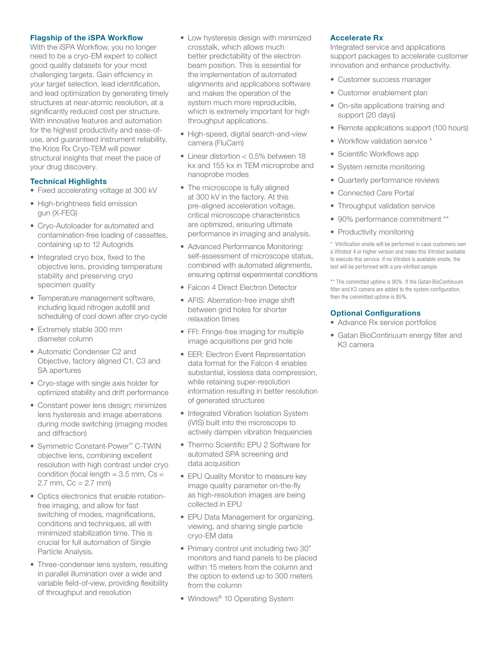#### Flagship of the iSPA Workflow

With the iSPA Workflow, you no longer need to be a cryo-EM expert to collect good quality datasets for your most challenging targets. Gain efficiency in your target selection, lead identification, and lead optimization by generating timely structures at near-atomic resolution, at a significantly reduced cost per structure. With innovative features and automation for the highest productivity and ease-ofuse, and guaranteed instrument reliability, the Krios Rx Cryo-TEM will power structural insights that meet the pace of your drug discovery.

#### Technical Highlights

- Fixed accelerating voltage at 300 kV
- High-brightness field emission gun (X-FEG)
- Cryo-Autoloader for automated and contamination-free loading of cassettes, containing up to 12 Autogrids
- Integrated cryo box, fixed to the objective lens, providing temperature stability and preserving cryo specimen quality
- Temperature management software, including liquid nitrogen autofill and scheduling of cool down after cryo cycle
- Extremely stable 300 mm diameter column
- Automatic Condenser C2 and Objective, factory aligned C1, C3 and SA apertures
- Cryo-stage with single axis holder for optimized stability and drift performance
- Constant power lens design; minimizes lens hysteresis and image aberrations during mode switching (imaging modes and diffraction)
- Symmetric Constant-Power™ C-TWIN objective lens, combining excellent resolution with high contrast under cryo condition (focal length  $= 3.5$  mm,  $Cs =$ 2.7 mm,  $Cc = 2.7$  mm)
- Optics electronics that enable rotationfree imaging, and allow for fast switching of modes, magnifications, conditions and techniques, all with minimized stabilization time. This is crucial for full automation of Single Particle Analysis.
- Three-condenser lens system, resulting in parallel illumination over a wide and variable field-of-view, providing flexibility of throughput and resolution
- Low hysteresis design with minimized crosstalk, which allows much better predictability of the electron beam position. This is essential for the implementation of automated alignments and applications software and makes the operation of the system much more reproducible, which is extremely important for high throughput applications.
- High-speed, digital search-and-view camera (FluCam)
- Linear distortion < 0.5% between 18 kx and 155 kx in TEM microprobe and nanoprobe modes
- The microscope is fully aligned at 300 kV in the factory. At this pre-aligned acceleration voltage, critical microscope characteristics are optimized, ensuring ultimate performance in imaging and analysis.
- Advanced Performance Monitoring: self-assessment of microscope status, combined with automated alignments, ensuring optimal experimental conditions
- Falcon 4 Direct Electron Detector
- AFIS: Aberration-free image shift between grid holes for shorter relaxation times
- FFI: Fringe-free imaging for multiple image acquisitions per grid hole
- EER: Electron Event Representation data format for the Falcon 4 enables substantial, lossless data compression, while retaining super-resolution information resulting in better resolution of generated structures
- Integrated Vibration Isolation System (iVIS) built into the microscope to actively dampen vibration frequencies
- Thermo Scientific EPU 2 Software for automated SPA screening and data acquisition
- EPU Quality Monitor to measure key image quality parameter on-the-fly as high-resolution images are being collected in EPU
- EPU Data Management for organizing, viewing, and sharing single particle cryo-EM data
- Primary control unit including two 30" monitors and hand panels to be placed within 15 meters from the column and the option to extend up to 300 meters from the column
- Windows<sup>®</sup> 10 Operating System

#### Accelerate Rx

Integrated service and applications support packages to accelerate customer innovation and enhance productivity.

- Customer success manager
- Customer enablement plan
- On-site applications training and support (20 days)
- Remote applications support (100 hours)
- Workflow validation service \*
- Scientific Workflows app
- System remote monitoring
- Quarterly performance reviews
- Connected Care Portal
- Throughput validation service
- 90% performance commitment \*\*
- Productivity monitoring

\* Vitrification onsite will be performed in case customers own a Vitrobot 4 or higher version and make this Vitrobot available to execute this service. If no Vitrobot is available onsite, the test will be performed with a pre-vitrified sample.

\*\* The committed uptime is 90%. If the Gatan BioContinuum filter and K3 camera are added to the system configuration, then the committed uptime is 85%.

#### Optional Configurations

- Advance Rx service portfolios
- Gatan BioContinuum energy filter and K3 camera